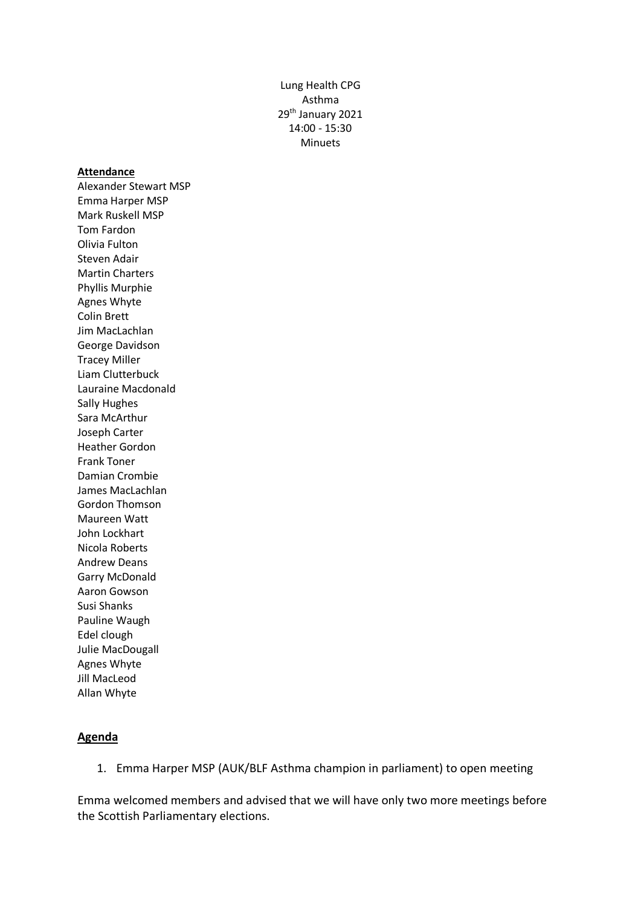Lung Health CPG Asthma 29<sup>th</sup> January 2021 14:00 - 15:30 Minuets

## **Attendance**

Alexander Stewart MSP Emma Harper MSP Mark Ruskell MSP Tom Fardon Olivia Fulton Steven Adair Martin Charters Phyllis Murphie Agnes Whyte Colin Brett Jim MacLachlan George Davidson Tracey Miller Liam Clutterbuck Lauraine Macdonald Sally Hughes Sara McArthur Joseph Carter Heather Gordon Frank Toner Damian Crombie James MacLachlan Gordon Thomson Maureen Watt John Lockhart Nicola Roberts Andrew Deans Garry McDonald Aaron Gowson Susi Shanks Pauline Waugh Edel clough Julie MacDougall Agnes Whyte Jill MacLeod Allan Whyte

## **Agenda**

1. Emma Harper MSP (AUK/BLF Asthma champion in parliament) to open meeting

Emma welcomed members and advised that we will have only two more meetings before the Scottish Parliamentary elections.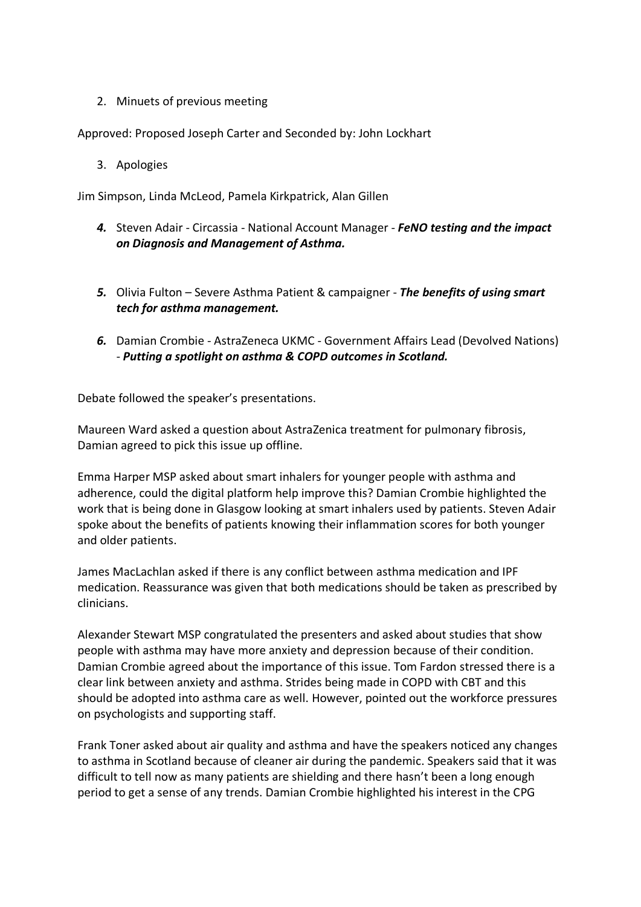2. Minuets of previous meeting

Approved: Proposed Joseph Carter and Seconded by: John Lockhart

3. Apologies

Jim Simpson, Linda McLeod, Pamela Kirkpatrick, Alan Gillen

- *4.* Steven Adair Circassia National Account Manager *FeNO testing and the impact on Diagnosis and Management of Asthma.*
- *5.* Olivia Fulton Severe Asthma Patient & campaigner *The benefits of using smart tech for asthma management.*
- *6.* Damian Crombie AstraZeneca UKMC Government Affairs Lead (Devolved Nations) *- Putting a spotlight on asthma & COPD outcomes in Scotland.*

Debate followed the speaker's presentations.

Maureen Ward asked a question about AstraZenica treatment for pulmonary fibrosis, Damian agreed to pick this issue up offline.

Emma Harper MSP asked about smart inhalers for younger people with asthma and adherence, could the digital platform help improve this? Damian Crombie highlighted the work that is being done in Glasgow looking at smart inhalers used by patients. Steven Adair spoke about the benefits of patients knowing their inflammation scores for both younger and older patients.

James MacLachlan asked if there is any conflict between asthma medication and IPF medication. Reassurance was given that both medications should be taken as prescribed by clinicians.

Alexander Stewart MSP congratulated the presenters and asked about studies that show people with asthma may have more anxiety and depression because of their condition. Damian Crombie agreed about the importance of this issue. Tom Fardon stressed there is a clear link between anxiety and asthma. Strides being made in COPD with CBT and this should be adopted into asthma care as well. However, pointed out the workforce pressures on psychologists and supporting staff.

Frank Toner asked about air quality and asthma and have the speakers noticed any changes to asthma in Scotland because of cleaner air during the pandemic. Speakers said that it was difficult to tell now as many patients are shielding and there hasn't been a long enough period to get a sense of any trends. Damian Crombie highlighted his interest in the CPG